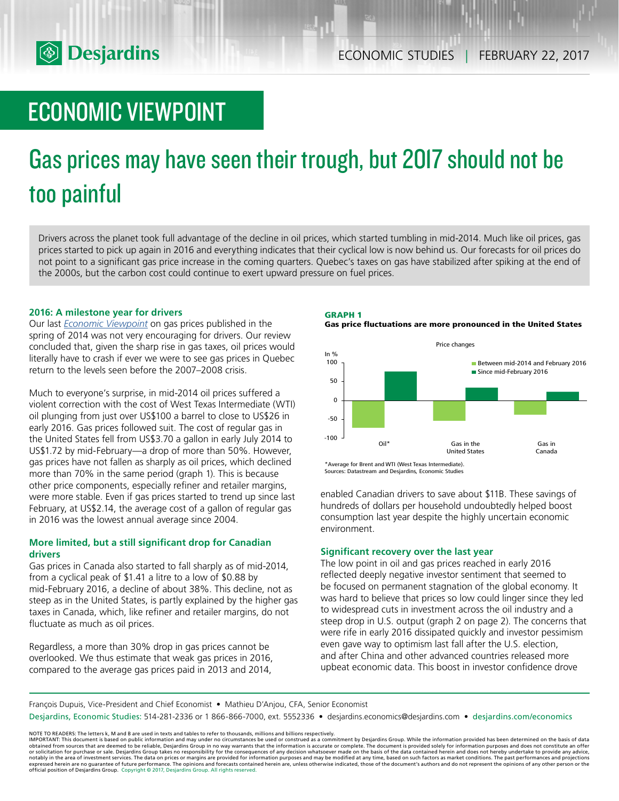

# ECONOMIC VIEWPOINT

# Gas prices may have seen their trough, but 2017 should not be too painful

Drivers across the planet took full advantage of the decline in oil prices, which started tumbling in mid-2014. Much like oil prices, gas prices started to pick up again in 2016 and everything indicates that their cyclical low is now behind us. Our forecasts for oil prices do not point to a significant gas price increase in the coming quarters. Quebec's taxes on gas have stabilized after spiking at the end of the 2000s, but the carbon cost could continue to exert upward pressure on fuel prices.

# **2016: A milestone year for drivers**

Our last *[Economic Viewpoint](https://www.desjardins.com/ressources/pdf/pv140507-e.pdf?resVer=1399474056000)* on gas prices published in the spring of 2014 was not very encouraging for drivers. Our review concluded that, given the sharp rise in gas taxes, oil prices would literally have to crash if ever we were to see gas prices in Quebec return to the levels seen before the 2007–2008 crisis.

Much to everyone's surprise, in mid-2014 oil prices suffered a violent correction with the cost of West Texas Intermediate (WTI) oil plunging from just over US\$100 a barrel to close to US\$26 in early 2016. Gas prices followed suit. The cost of regular gas in the United States fell from US\$3.70 a gallon in early July 2014 to US\$1.72 by mid-February—a drop of more than 50%. However, gas prices have not fallen as sharply as oil prices, which declined more than 70% in the same period (graph 1). This is because other price components, especially refiner and retailer margins, were more stable. Even if gas prices started to trend up since last February, at US\$2.14, the average cost of a gallon of regular gas in 2016 was the lowest annual average since 2004.

# **More limited, but a still significant drop for Canadian drivers**

Gas prices in Canada also started to fall sharply as of mid-2014, from a cyclical peak of \$1.41 a litre to a low of \$0.88 by mid-February 2016, a decline of about 38%. This decline, not as steep as in the United States, is partly explained by the higher gas taxes in Canada, which, like refiner and retailer margins, do not fluctuate as much as oil prices.

Regardless, a more than 30% drop in gas prices cannot be overlooked. We thus estimate that weak gas prices in 2016, compared to the average gas prices paid in 2013 and 2014,





Sources: Datastream and Desjardins, Economic Studies

enabled Canadian drivers to save about \$11B. These savings of hundreds of dollars per household undoubtedly helped boost consumption last year despite the highly uncertain economic environment.

# **Significant recovery over the last year**

The low point in oil and gas prices reached in early 2016 reflected deeply negative investor sentiment that seemed to be focused on permanent stagnation of the global economy. It was hard to believe that prices so low could linger since they led to widespread cuts in investment across the oil industry and a steep drop in U.S. output (graph 2 on page 2). The concerns that were rife in early 2016 dissipated quickly and investor pessimism even gave way to optimism last fall after the U.S. election, and after China and other advanced countries released more upbeat economic data. This boost in investor confidence drove

François Dupuis, Vice-President and Chief Economist • Mathieu D'Anjou, CFA, Senior Economist

Desjardins, Economic Studies: 514-281-2336 or 1 866-866-7000, ext. 5552336 • desjardins.economics@desjardins.com • desjardins.com/economics

NOTE TO READERS: The letters k, M and B are used in texts and tables to refer to thousands, millions and billions respectively.<br>IMPORTANT: This document is based on public information and may under no circumstances be used obtained from sources that are deemed to be reliable, Desjardins Group in no way warrants that the information is accurate or complete. The document is provided solely for information purposes and does not constitute an of expressed herein are no guarantee of future performance. The opinions and forecasts contained herein are, unless otherwise indicated, those of the document's authors and do not represent the opinions of any other person or official position of Desjardins Group. Copyright © 2017, Desjardins Group. All rights reserved.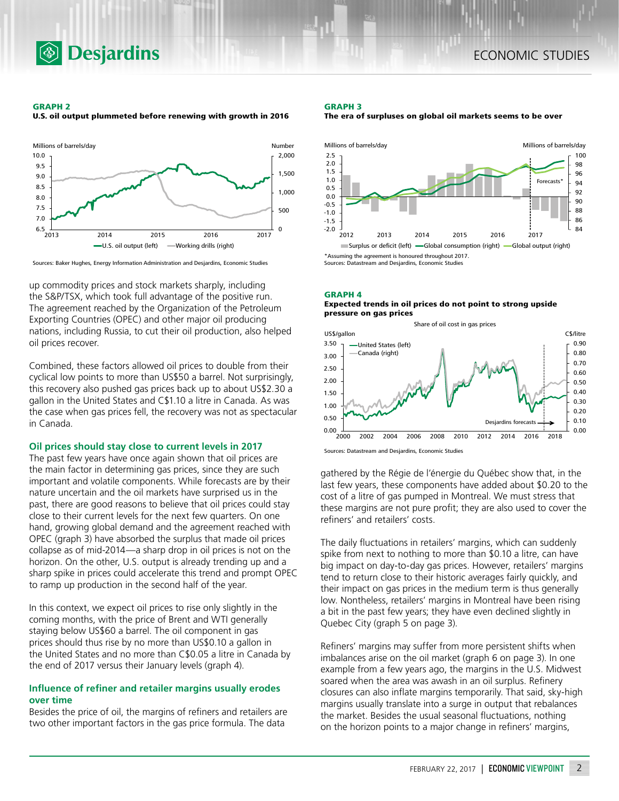

#### **GRAPH 2**

**U.S. oil output plummeted before renewing with growth in 2016**

**Desjardins** 



Sources: Baker Hughes, Energy Information Administration and Desjardins, Economic Studies

up commodity prices and stock markets sharply, including the S&P/TSX, which took full advantage of the positive run. The agreement reached by the Organization of the Petroleum Exporting Countries (OPEC) and other major oil producing nations, including Russia, to cut their oil production, also helped oil prices recover.

Combined, these factors allowed oil prices to double from their cyclical low points to more than US\$50 a barrel. Not surprisingly, this recovery also pushed gas prices back up to about US\$2.30 a gallon in the United States and C\$1.10 a litre in Canada. As was the case when gas prices fell, the recovery was not as spectacular in Canada.

#### **Oil prices should stay close to current levels in 2017**

The past few years have once again shown that oil prices are the main factor in determining gas prices, since they are such important and volatile components. While forecasts are by their nature uncertain and the oil markets have surprised us in the past, there are good reasons to believe that oil prices could stay close to their current levels for the next few quarters. On one hand, growing global demand and the agreement reached with OPEC (graph 3) have absorbed the surplus that made oil prices collapse as of mid-2014—a sharp drop in oil prices is not on the horizon. On the other, U.S. output is already trending up and a sharp spike in prices could accelerate this trend and prompt OPEC to ramp up production in the second half of the year.

In this context, we expect oil prices to rise only slightly in the coming months, with the price of Brent and WTI generally staying below US\$60 a barrel. The oil component in gas prices should thus rise by no more than US\$0.10 a gallon in the United States and no more than C\$0.05 a litre in Canada by the end of 2017 versus their January levels (graph 4).

# **Influence of refiner and retailer margins usually erodes over time**

Besides the price of oil, the margins of refiners and retailers are two other important factors in the gas price formula. The data

#### **GRAPH 3**





**GRAPH 4 Expected trends in oil prices do not point to strong upside pressure on gas prices**



Sources: Datastream and Desjardins, Economic Studies

gathered by the Régie de l'énergie du Québec show that, in the last few years, these components have added about \$0.20 to the cost of a litre of gas pumped in Montreal. We must stress that these margins are not pure profit; they are also used to cover the refiners' and retailers' costs.

The daily fluctuations in retailers' margins, which can suddenly spike from next to nothing to more than \$0.10 a litre, can have big impact on day-to-day gas prices. However, retailers' margins tend to return close to their historic averages fairly quickly, and their impact on gas prices in the medium term is thus generally low. Nontheless, retailers' margins in Montreal have been rising a bit in the past few years; they have even declined slightly in Quebec City (graph 5 on page 3).

Refiners' margins may suffer from more persistent shifts when imbalances arise on the oil market (graph 6 on page 3). In one example from a few years ago, the margins in the U.S. Midwest soared when the area was awash in an oil surplus. Refinery closures can also inflate margins temporarily. That said, sky-high margins usually translate into a surge in output that rebalances the market. Besides the usual seasonal fluctuations, nothing on the horizon points to a major change in refiners' margins,